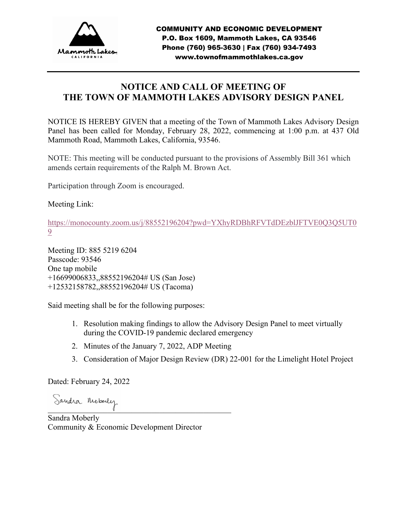

# **NOTICE AND CALL OF MEETING OF THE TOWN OF MAMMOTH LAKES ADVISORY DESIGN PANEL**

NOTICE IS HEREBY GIVEN that a meeting of the Town of Mammoth Lakes Advisory Design Panel has been called for Monday, February 28, 2022, commencing at 1:00 p.m. at 437 Old Mammoth Road, Mammoth Lakes, California, 93546.

NOTE: This meeting will be conducted pursuant to the provisions of Assembly Bill 361 which amends certain requirements of the Ralph M. Brown Act.

Participation through Zoom is encouraged.

Meeting Link:

[https://monocounty.zoom.us/j/88552196204?pwd=YXhyRDBhRFVTdDEzblJFTVE0Q3Q5UT0](https://monocounty.zoom.us/j/88552196204?pwd=YXhyRDBhRFVTdDEzblJFTVE0Q3Q5UT09) [9](https://monocounty.zoom.us/j/88552196204?pwd=YXhyRDBhRFVTdDEzblJFTVE0Q3Q5UT09)

Meeting ID: 885 5219 6204 Passcode: 93546 One tap mobile +16699006833,,88552196204# US (San Jose) +12532158782,,88552196204# US (Tacoma)

Said meeting shall be for the following purposes:

- 1. Resolution making findings to allow the Advisory Design Panel to meet virtually during the COVID-19 pandemic declared emergency
- 2. Minutes of the January 7, 2022, ADP Meeting
- 3. Consideration of Major Design Review (DR) 22-001 for the Limelight Hotel Project

Dated: February 24, 2022

Sandra Moberly

Sandra Moberly Community & Economic Development Director